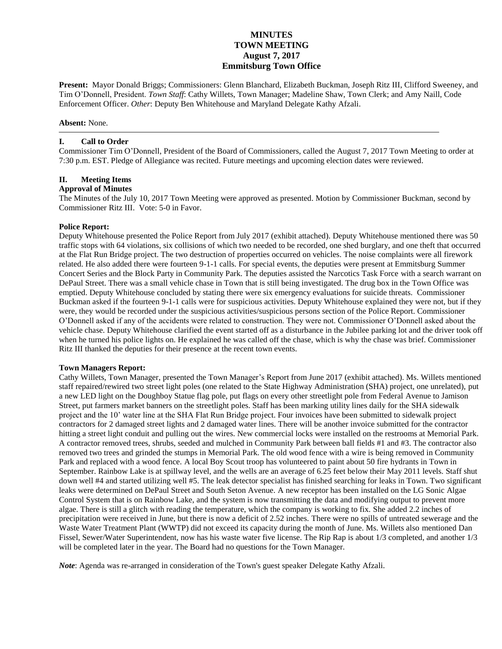# **MINUTES TOWN MEETING August 7, 2017 Emmitsburg Town Office**

**Present:** Mayor Donald Briggs; Commissioners: Glenn Blanchard, Elizabeth Buckman, Joseph Ritz III, Clifford Sweeney, and Tim O'Donnell, President. *Town Staff*: Cathy Willets, Town Manager; Madeline Shaw, Town Clerk; and Amy Naill, Code Enforcement Officer. *Other*: Deputy Ben Whitehouse and Maryland Delegate Kathy Afzali.

#### **Absent:** None.

#### **I. Call to Order**

Commissioner Tim O'Donnell, President of the Board of Commissioners, called the August 7, 2017 Town Meeting to order at 7:30 p.m. EST. Pledge of Allegiance was recited. Future meetings and upcoming election dates were reviewed.

## **II. Meeting Items**

#### **Approval of Minutes**

The Minutes of the July 10, 2017 Town Meeting were approved as presented. Motion by Commissioner Buckman, second by Commissioner Ritz III. Vote: 5-0 in Favor.

#### **Police Report:**

Deputy Whitehouse presented the Police Report from July 2017 (exhibit attached). Deputy Whitehouse mentioned there was 50 traffic stops with 64 violations, six collisions of which two needed to be recorded, one shed burglary, and one theft that occurred at the Flat Run Bridge project. The two destruction of properties occurred on vehicles. The noise complaints were all firework related. He also added there were fourteen 9-1-1 calls. For special events, the deputies were present at Emmitsburg Summer Concert Series and the Block Party in Community Park. The deputies assisted the Narcotics Task Force with a search warrant on DePaul Street. There was a small vehicle chase in Town that is still being investigated. The drug box in the Town Office was emptied. Deputy Whitehouse concluded by stating there were six emergency evaluations for suicide threats. Commissioner Buckman asked if the fourteen 9-1-1 calls were for suspicious activities. Deputy Whitehouse explained they were not, but if they were, they would be recorded under the suspicious activities/suspicious persons section of the Police Report. Commissioner O'Donnell asked if any of the accidents were related to construction. They were not. Commissioner O'Donnell asked about the vehicle chase. Deputy Whitehouse clarified the event started off as a disturbance in the Jubilee parking lot and the driver took off when he turned his police lights on. He explained he was called off the chase, which is why the chase was brief. Commissioner Ritz III thanked the deputies for their presence at the recent town events.

#### **Town Managers Report:**

Cathy Willets, Town Manager, presented the Town Manager's Report from June 2017 (exhibit attached). Ms. Willets mentioned staff repaired/rewired two street light poles (one related to the State Highway Administration (SHA) project, one unrelated), put a new LED light on the Doughboy Statue flag pole, put flags on every other streetlight pole from Federal Avenue to Jamison Street, put farmers market banners on the streetlight poles. Staff has been marking utility lines daily for the SHA sidewalk project and the 10' water line at the SHA Flat Run Bridge project. Four invoices have been submitted to sidewalk project contractors for 2 damaged street lights and 2 damaged water lines. There will be another invoice submitted for the contractor hitting a street light conduit and pulling out the wires. New commercial locks were installed on the restrooms at Memorial Park. A contractor removed trees, shrubs, seeded and mulched in Community Park between ball fields #1 and #3. The contractor also removed two trees and grinded the stumps in Memorial Park. The old wood fence with a wire is being removed in Community Park and replaced with a wood fence. A local Boy Scout troop has volunteered to paint about 50 fire hydrants in Town in September. Rainbow Lake is at spillway level, and the wells are an average of 6.25 feet below their May 2011 levels. Staff shut down well #4 and started utilizing well #5. The leak detector specialist has finished searching for leaks in Town. Two significant leaks were determined on DePaul Street and South Seton Avenue. A new receptor has been installed on the LG Sonic Algae Control System that is on Rainbow Lake, and the system is now transmitting the data and modifying output to prevent more algae. There is still a glitch with reading the temperature, which the company is working to fix. She added 2.2 inches of precipitation were received in June, but there is now a deficit of 2.52 inches. There were no spills of untreated sewerage and the Waste Water Treatment Plant (WWTP) did not exceed its capacity during the month of June. Ms. Willets also mentioned Dan Fissel, Sewer/Water Superintendent, now has his waste water five license. The Rip Rap is about 1/3 completed, and another 1/3 will be completed later in the year. The Board had no questions for the Town Manager.

*Note*: Agenda was re-arranged in consideration of the Town's guest speaker Delegate Kathy Afzali.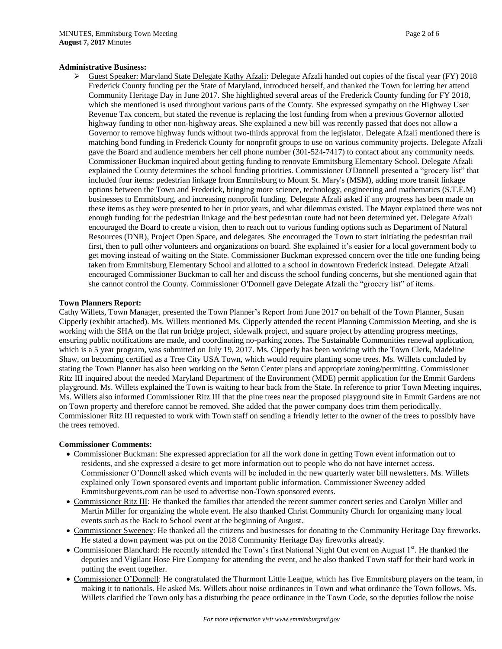#### **Administrative Business:**

 Guest Speaker: Maryland State Delegate Kathy Afzali: Delegate Afzali handed out copies of the fiscal year (FY) 2018 Frederick County funding per the State of Maryland, introduced herself, and thanked the Town for letting her attend Community Heritage Day in June 2017. She highlighted several areas of the Frederick County funding for FY 2018, which she mentioned is used throughout various parts of the County. She expressed sympathy on the Highway User Revenue Tax concern, but stated the revenue is replacing the lost funding from when a previous Governor allotted highway funding to other non-highway areas. She explained a new bill was recently passed that does not allow a Governor to remove highway funds without two-thirds approval from the legislator. Delegate Afzali mentioned there is matching bond funding in Frederick County for nonprofit groups to use on various community projects. Delegate Afzali gave the Board and audience members her cell phone number (301-524-7417) to contact about any community needs. Commissioner Buckman inquired about getting funding to renovate Emmitsburg Elementary School. Delegate Afzali explained the County determines the school funding priorities. Commissioner O'Donnell presented a "grocery list" that included four items: pedestrian linkage from Emmitsburg to Mount St. Mary's (MSM), adding more transit linkage options between the Town and Frederick, bringing more science, technology, engineering and mathematics (S.T.E.M) businesses to Emmitsburg, and increasing nonprofit funding. Delegate Afzali asked if any progress has been made on these items as they were presented to her in prior years, and what dilemmas existed. The Mayor explained there was not enough funding for the pedestrian linkage and the best pedestrian route had not been determined yet. Delegate Afzali encouraged the Board to create a vision, then to reach out to various funding options such as Department of Natural Resources (DNR), Project Open Space, and delegates. She encouraged the Town to start initiating the pedestrian trail first, then to pull other volunteers and organizations on board. She explained it's easier for a local government body to get moving instead of waiting on the State. Commissioner Buckman expressed concern over the title one funding being taken from Emmitsburg Elementary School and allotted to a school in downtown Frederick instead. Delegate Afzali encouraged Commissioner Buckman to call her and discuss the school funding concerns, but she mentioned again that she cannot control the County. Commissioner O'Donnell gave Delegate Afzali the "grocery list" of items.

#### **Town Planners Report:**

Cathy Willets, Town Manager, presented the Town Planner's Report from June 2017 on behalf of the Town Planner, Susan Cipperly (exhibit attached). Ms. Willets mentioned Ms. Cipperly attended the recent Planning Commission Meeting, and she is working with the SHA on the flat run bridge project, sidewalk project, and square project by attending progress meetings, ensuring public notifications are made, and coordinating no-parking zones. The Sustainable Communities renewal application, which is a 5 year program, was submitted on July 19, 2017. Ms. Cipperly has been working with the Town Clerk, Madeline Shaw, on becoming certified as a Tree City USA Town, which would require planting some trees. Ms. Willets concluded by stating the Town Planner has also been working on the Seton Center plans and appropriate zoning/permitting. Commissioner Ritz III inquired about the needed Maryland Department of the Environment (MDE) permit application for the Emmit Gardens playground. Ms. Willets explained the Town is waiting to hear back from the State. In reference to prior Town Meeting inquires, Ms. Willets also informed Commissioner Ritz III that the pine trees near the proposed playground site in Emmit Gardens are not on Town property and therefore cannot be removed. She added that the power company does trim them periodically. Commissioner Ritz III requested to work with Town staff on sending a friendly letter to the owner of the trees to possibly have the trees removed.

#### **Commissioner Comments:**

- Commissioner Buckman: She expressed appreciation for all the work done in getting Town event information out to residents, and she expressed a desire to get more information out to people who do not have internet access. Commissioner O'Donnell asked which events will be included in the new quarterly water bill newsletters. Ms. Willets explained only Town sponsored events and important public information. Commissioner Sweeney added Emmitsburgevents.com can be used to advertise non-Town sponsored events.
- Commissioner Ritz III: He thanked the families that attended the recent summer concert series and Carolyn Miller and Martin Miller for organizing the whole event. He also thanked Christ Community Church for organizing many local events such as the Back to School event at the beginning of August.
- Commissioner Sweeney: He thanked all the citizens and businesses for donating to the Community Heritage Day fireworks. He stated a down payment was put on the 2018 Community Heritage Day fireworks already.
- Commissioner Blanchard: He recently attended the Town's first National Night Out event on August 1<sup>st</sup>. He thanked the deputies and Vigilant Hose Fire Company for attending the event, and he also thanked Town staff for their hard work in putting the event together.
- Commissioner O'Donnell: He congratulated the Thurmont Little League, which has five Emmitsburg players on the team, in making it to nationals. He asked Ms. Willets about noise ordinances in Town and what ordinance the Town follows. Ms. Willets clarified the Town only has a disturbing the peace ordinance in the Town Code, so the deputies follow the noise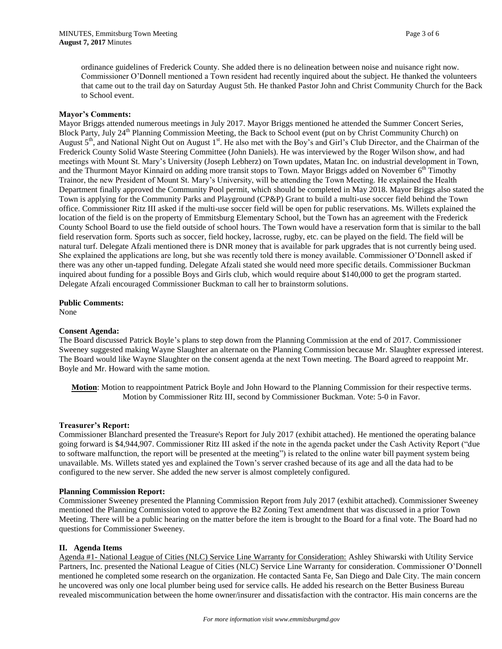ordinance guidelines of Frederick County. She added there is no delineation between noise and nuisance right now. Commissioner O'Donnell mentioned a Town resident had recently inquired about the subject. He thanked the volunteers that came out to the trail day on Saturday August 5th. He thanked Pastor John and Christ Community Church for the Back to School event.

#### **Mayor's Comments:**

Mayor Briggs attended numerous meetings in July 2017. Mayor Briggs mentioned he attended the Summer Concert Series, Block Party, July 24<sup>th</sup> Planning Commission Meeting, the Back to School event (put on by Christ Community Church) on August 5<sup>th</sup>, and National Night Out on August 1<sup>st</sup>. He also met with the Boy's and Girl's Club Director, and the Chairman of the Frederick County Solid Waste Steering Committee (John Daniels). He was interviewed by the Roger Wilson show, and had meetings with Mount St. Mary's University (Joseph Lebherz) on Town updates, Matan Inc. on industrial development in Town, and the Thurmont Mayor Kinnaird on adding more transit stops to Town. Mayor Briggs added on November  $6<sup>th</sup>$  Timothy Trainor, the new President of Mount St. Mary's University, will be attending the Town Meeting. He explained the Health Department finally approved the Community Pool permit, which should be completed in May 2018. Mayor Briggs also stated the Town is applying for the Community Parks and Playground (CP&P) Grant to build a multi-use soccer field behind the Town office. Commissioner Ritz III asked if the multi-use soccer field will be open for public reservations. Ms. Willets explained the location of the field is on the property of Emmitsburg Elementary School, but the Town has an agreement with the Frederick County School Board to use the field outside of school hours. The Town would have a reservation form that is similar to the ball field reservation form. Sports such as soccer, field hockey, lacrosse, rugby, etc. can be played on the field. The field will be natural turf. Delegate Afzali mentioned there is DNR money that is available for park upgrades that is not currently being used. She explained the applications are long, but she was recently told there is money available. Commissioner O'Donnell asked if there was any other un-tapped funding. Delegate Afzali stated she would need more specific details. Commissioner Buckman inquired about funding for a possible Boys and Girls club, which would require about \$140,000 to get the program started. Delegate Afzali encouraged Commissioner Buckman to call her to brainstorm solutions.

#### **Public Comments:**

None

#### **Consent Agenda:**

The Board discussed Patrick Boyle's plans to step down from the Planning Commission at the end of 2017. Commissioner Sweeney suggested making Wayne Slaughter an alternate on the Planning Commission because Mr. Slaughter expressed interest. The Board would like Wayne Slaughter on the consent agenda at the next Town meeting. The Board agreed to reappoint Mr. Boyle and Mr. Howard with the same motion.

**Motion**: Motion to reappointment Patrick Boyle and John Howard to the Planning Commission for their respective terms. Motion by Commissioner Ritz III, second by Commissioner Buckman. Vote: 5-0 in Favor.

#### **Treasurer's Report:**

Commissioner Blanchard presented the Treasure's Report for July 2017 (exhibit attached). He mentioned the operating balance going forward is \$4,944,907. Commissioner Ritz III asked if the note in the agenda packet under the Cash Activity Report ("due to software malfunction, the report will be presented at the meeting") is related to the online water bill payment system being unavailable. Ms. Willets stated yes and explained the Town's server crashed because of its age and all the data had to be configured to the new server. She added the new server is almost completely configured.

#### **Planning Commission Report:**

Commissioner Sweeney presented the Planning Commission Report from July 2017 (exhibit attached). Commissioner Sweeney mentioned the Planning Commission voted to approve the B2 Zoning Text amendment that was discussed in a prior Town Meeting. There will be a public hearing on the matter before the item is brought to the Board for a final vote. The Board had no questions for Commissioner Sweeney.

# **II. Agenda Items**

Agenda #1- National League of Cities (NLC) Service Line Warranty for Consideration: Ashley Shiwarski with Utility Service Partners, Inc. presented the National League of Cities (NLC) Service Line Warranty for consideration. Commissioner O'Donnell mentioned he completed some research on the organization. He contacted Santa Fe, San Diego and Dale City. The main concern he uncovered was only one local plumber being used for service calls. He added his research on the Better Business Bureau revealed miscommunication between the home owner/insurer and dissatisfaction with the contractor. His main concerns are the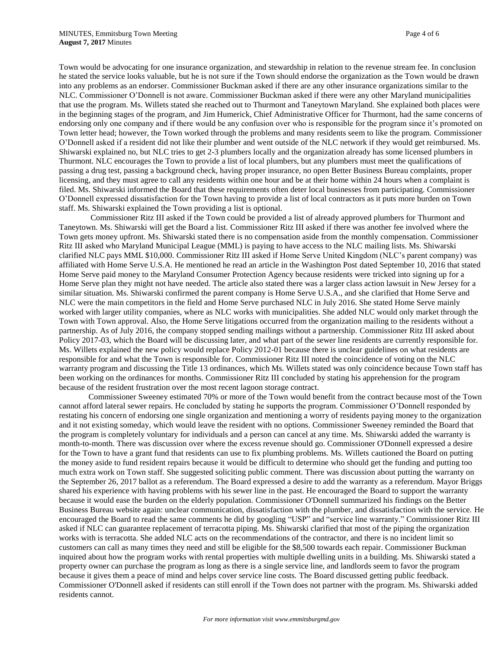Town would be advocating for one insurance organization, and stewardship in relation to the revenue stream fee. In conclusion he stated the service looks valuable, but he is not sure if the Town should endorse the organization as the Town would be drawn into any problems as an endorser. Commissioner Buckman asked if there are any other insurance organizations similar to the NLC. Commissioner O'Donnell is not aware. Commissioner Buckman asked if there were any other Maryland municipalities that use the program. Ms. Willets stated she reached out to Thurmont and Taneytown Maryland. She explained both places were in the beginning stages of the program, and Jim Humerick, Chief Administrative Officer for Thurmont, had the same concerns of endorsing only one company and if there would be any confusion over who is responsible for the program since it's promoted on Town letter head; however, the Town worked through the problems and many residents seem to like the program. Commissioner O'Donnell asked if a resident did not like their plumber and went outside of the NLC network if they would get reimbursed. Ms. Shiwarski explained no, but NLC tries to get 2-3 plumbers locally and the organization already has some licensed plumbers in Thurmont. NLC encourages the Town to provide a list of local plumbers, but any plumbers must meet the qualifications of passing a drug test, passing a background check, having proper insurance, no open Better Business Bureau complaints, proper licensing, and they must agree to call any residents within one hour and be at their home within 24 hours when a complaint is filed. Ms. Shiwarski informed the Board that these requirements often deter local businesses from participating. Commissioner O'Donnell expressed dissatisfaction for the Town having to provide a list of local contractors as it puts more burden on Town staff. Ms. Shiwarski explained the Town providing a list is optional.

Commissioner Ritz III asked if the Town could be provided a list of already approved plumbers for Thurmont and Taneytown. Ms. Shiwarski will get the Board a list. Commissioner Ritz III asked if there was another fee involved where the Town gets money upfront. Ms. Shiwarski stated there is no compensation aside from the monthly compensation. Commissioner Ritz III asked who Maryland Municipal League (MML) is paying to have access to the NLC mailing lists. Ms. Shiwarski clarified NLC pays MML \$10,000. Commissioner Ritz III asked if Home Serve United Kingdom (NLC's parent company) was affiliated with Home Serve U.S.A. He mentioned he read an article in the Washington Post dated September 10, 2016 that stated Home Serve paid money to the Maryland Consumer Protection Agency because residents were tricked into signing up for a Home Serve plan they might not have needed. The article also stated there was a larger class action lawsuit in New Jersey for a similar situation. Ms. Shiwarski confirmed the parent company is Home Serve U.S.A., and she clarified that Home Serve and NLC were the main competitors in the field and Home Serve purchased NLC in July 2016. She stated Home Serve mainly worked with larger utility companies, where as NLC works with municipalities. She added NLC would only market through the Town with Town approval. Also, the Home Serve litigations occurred from the organization mailing to the residents without a partnership. As of July 2016, the company stopped sending mailings without a partnership. Commissioner Ritz III asked about Policy 2017-03, which the Board will be discussing later, and what part of the sewer line residents are currently responsible for. Ms. Willets explained the new policy would replace Policy 2012-01 because there is unclear guidelines on what residents are responsible for and what the Town is responsible for. Commissioner Ritz III noted the coincidence of voting on the NLC warranty program and discussing the Title 13 ordinances, which Ms. Willets stated was only coincidence because Town staff has been working on the ordinances for months. Commissioner Ritz III concluded by stating his apprehension for the program because of the resident frustration over the most recent lagoon storage contract.

Commissioner Sweeney estimated 70% or more of the Town would benefit from the contract because most of the Town cannot afford lateral sewer repairs. He concluded by stating he supports the program. Commissioner O'Donnell responded by restating his concern of endorsing one single organization and mentioning a worry of residents paying money to the organization and it not existing someday, which would leave the resident with no options. Commissioner Sweeney reminded the Board that the program is completely voluntary for individuals and a person can cancel at any time. Ms. Shiwarski added the warranty is month-to-month. There was discussion over where the excess revenue should go. Commissioner O'Donnell expressed a desire for the Town to have a grant fund that residents can use to fix plumbing problems. Ms. Willets cautioned the Board on putting the money aside to fund resident repairs because it would be difficult to determine who should get the funding and putting too much extra work on Town staff. She suggested soliciting public comment. There was discussion about putting the warranty on the September 26, 2017 ballot as a referendum. The Board expressed a desire to add the warranty as a referendum. Mayor Briggs shared his experience with having problems with his sewer line in the past. He encouraged the Board to support the warranty because it would ease the burden on the elderly population. Commissioner O'Donnell summarized his findings on the Better Business Bureau website again: unclear communication, dissatisfaction with the plumber, and dissatisfaction with the service. He encouraged the Board to read the same comments he did by googling "USP" and "service line warranty." Commissioner Ritz III asked if NLC can guarantee replacement of terracotta piping. Ms. Shiwarski clarified that most of the piping the organization works with is terracotta. She added NLC acts on the recommendations of the contractor, and there is no incident limit so customers can call as many times they need and still be eligible for the \$8,500 towards each repair. Commissioner Buckman inquired about how the program works with rental properties with multiple dwelling units in a building. Ms. Shiwarski stated a property owner can purchase the program as long as there is a single service line, and landlords seem to favor the program because it gives them a peace of mind and helps cover service line costs. The Board discussed getting public feedback. Commissioner O'Donnell asked if residents can still enroll if the Town does not partner with the program. Ms. Shiwarski added residents cannot.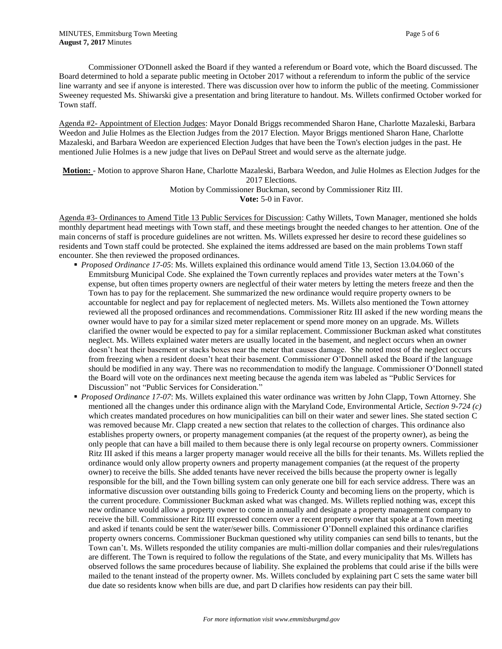Commissioner O'Donnell asked the Board if they wanted a referendum or Board vote, which the Board discussed. The Board determined to hold a separate public meeting in October 2017 without a referendum to inform the public of the service line warranty and see if anyone is interested. There was discussion over how to inform the public of the meeting. Commissioner Sweeney requested Ms. Shiwarski give a presentation and bring literature to handout. Ms. Willets confirmed October worked for Town staff.

Agenda #2- Appointment of Election Judges: Mayor Donald Briggs recommended Sharon Hane, Charlotte Mazaleski, Barbara Weedon and Julie Holmes as the Election Judges from the 2017 Election. Mayor Briggs mentioned Sharon Hane, Charlotte Mazaleski, and Barbara Weedon are experienced Election Judges that have been the Town's election judges in the past. He mentioned Julie Holmes is a new judge that lives on DePaul Street and would serve as the alternate judge.

**Motion:** - Motion to approve Sharon Hane, Charlotte Mazaleski, Barbara Weedon, and Julie Holmes as Election Judges for the 2017 Elections.

> Motion by Commissioner Buckman, second by Commissioner Ritz III. **Vote:** 5-0 in Favor.

Agenda #3- Ordinances to Amend Title 13 Public Services for Discussion: Cathy Willets, Town Manager, mentioned she holds monthly department head meetings with Town staff, and these meetings brought the needed changes to her attention. One of the main concerns of staff is procedure guidelines are not written. Ms. Willets expressed her desire to record these guidelines so residents and Town staff could be protected. She explained the items addressed are based on the main problems Town staff encounter. She then reviewed the proposed ordinances.

- *Proposed Ordinance 17-05*: Ms. Willets explained this ordinance would amend Title 13, Section 13.04.060 of the Emmitsburg Municipal Code. She explained the Town currently replaces and provides water meters at the Town's expense, but often times property owners are neglectful of their water meters by letting the meters freeze and then the Town has to pay for the replacement. She summarized the new ordinance would require property owners to be accountable for neglect and pay for replacement of neglected meters. Ms. Willets also mentioned the Town attorney reviewed all the proposed ordinances and recommendations. Commissioner Ritz III asked if the new wording means the owner would have to pay for a similar sized meter replacement or spend more money on an upgrade. Ms. Willets clarified the owner would be expected to pay for a similar replacement. Commissioner Buckman asked what constitutes neglect. Ms. Willets explained water meters are usually located in the basement, and neglect occurs when an owner doesn't heat their basement or stacks boxes near the meter that causes damage. She noted most of the neglect occurs from freezing when a resident doesn't heat their basement. Commissioner O'Donnell asked the Board if the language should be modified in any way. There was no recommendation to modify the language. Commissioner O'Donnell stated the Board will vote on the ordinances next meeting because the agenda item was labeled as "Public Services for Discussion" not "Public Services for Consideration."
- *Proposed Ordinance 17-07*: Ms. Willets explained this water ordinance was written by John Clapp, Town Attorney. She mentioned all the changes under this ordinance align with the Maryland Code, Environmental Article, *Section 9-724 (c)* which creates mandated procedures on how municipalities can bill on their water and sewer lines. She stated section C was removed because Mr. Clapp created a new section that relates to the collection of charges. This ordinance also establishes property owners, or property management companies (at the request of the property owner), as being the only people that can have a bill mailed to them because there is only legal recourse on property owners. Commissioner Ritz III asked if this means a larger property manager would receive all the bills for their tenants. Ms. Willets replied the ordinance would only allow property owners and property management companies (at the request of the property owner) to receive the bills. She added tenants have never received the bills because the property owner is legally responsible for the bill, and the Town billing system can only generate one bill for each service address. There was an informative discussion over outstanding bills going to Frederick County and becoming liens on the property, which is the current procedure. Commissioner Buckman asked what was changed. Ms. Willets replied nothing was, except this new ordinance would allow a property owner to come in annually and designate a property management company to receive the bill. Commissioner Ritz III expressed concern over a recent property owner that spoke at a Town meeting and asked if tenants could be sent the water/sewer bills. Commissioner O'Donnell explained this ordinance clarifies property owners concerns. Commissioner Buckman questioned why utility companies can send bills to tenants, but the Town can't. Ms. Willets responded the utility companies are multi-million dollar companies and their rules/regulations are different. The Town is required to follow the regulations of the State, and every municipality that Ms. Willets has observed follows the same procedures because of liability. She explained the problems that could arise if the bills were mailed to the tenant instead of the property owner. Ms. Willets concluded by explaining part C sets the same water bill due date so residents know when bills are due, and part D clarifies how residents can pay their bill.